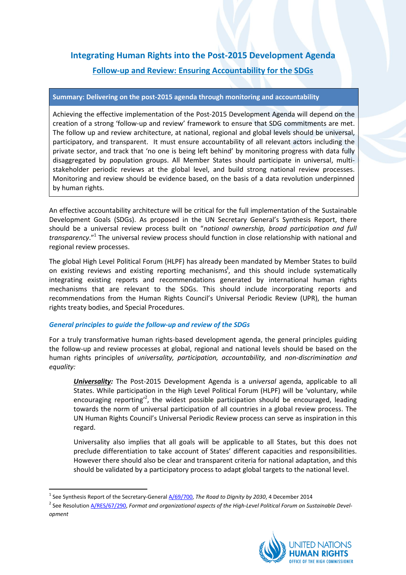# **Integrating Human Rights into the Post-2015 Development Agenda Follow-up and Review: Ensuring Accountability for the SDGs**

#### **Summary: Delivering on the post-2015 agenda through monitoring and accountability**

Achieving the effective implementation of the Post-2015 Development Agenda will depend on the creation of a strong 'follow-up and review' framework to ensure that SDG commitments are met. The follow up and review architecture, at national, regional and global levels should be universal, participatory, and transparent. It must ensure accountability of all relevant actors including the private sector, and track that 'no one is being left behind' by monitoring progress with data fully disaggregated by population groups. All Member States should participate in universal, multistakeholder periodic reviews at the global level, and build strong national review processes. Monitoring and review should be evidence based, on the basis of a data revolution underpinned by human rights.

An effective accountability architecture will be critical for the full implementation of the Sustainable Development Goals (SDGs). As proposed in the UN Secretary General's Synthesis Report, there should be a universal review process built on "*national ownership, broad participation and full transparency*."<sup>1</sup> The universal review process should function in close relationship with national and regional review processes.

The global High Level Political Forum (HLPF) has already been mandated by Member States to build on existing reviews and existing reporting mechanisms**<sup>i</sup>** , and this should include systematically integrating existing reports and recommendations generated by international human rights mechanisms that are relevant to the SDGs. This should include incorporating reports and recommendations from the Human Rights Council's Universal Periodic Review (UPR), the human rights treaty bodies, and Special Procedures.

## *General principles to guide the follow-up and review of the SDGs*

**.** 

For a truly transformative human rights-based development agenda, the general principles guiding the follow-up and review processes at global, regional and national levels should be based on the human rights principles of *universality, participation, accountability,* and *non-discrimination and equality:*

*Universality:* The Post-2015 Development Agenda is a *universal* agenda, applicable to all States. While participation in the High Level Political Forum (HLPF) will be 'voluntary, while encouraging reporting<sup>2</sup>, the widest possible participation should be encouraged, leading towards the norm of universal participation of all countries in a global review process. The UN Human Rights Council's Universal Periodic Review process can serve as inspiration in this regard.

Universality also implies that all goals will be applicable to all States, but this does not preclude differentiation to take account of States' different capacities and responsibilities. However there should also be clear and transparent criteria for national adaptation, and this should be validated by a participatory process to adapt global targets to the national level.

<sup>&</sup>lt;sup>2</sup> See Resolution <u>A/RES/67/290</u>, Format and organizational aspects of the High-Level Political Forum on Sustainable Devel*opment*



<sup>&</sup>lt;sup>1</sup> See Synthesis Report of the Secretary-General *A/69/700, The Road to Dignity by 2030*, 4 December 2014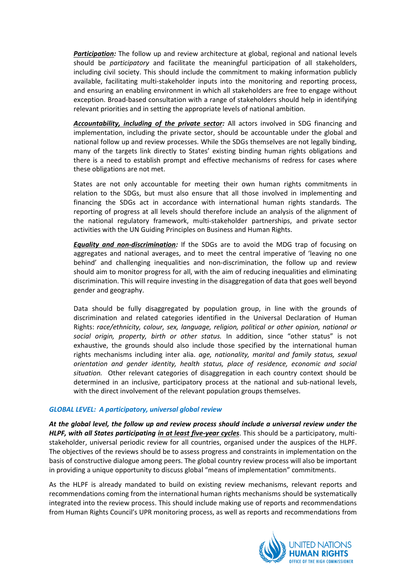*Participation:* The follow up and review architecture at global, regional and national levels should be *participatory* and facilitate the meaningful participation of all stakeholders, including civil society. This should include the commitment to making information publicly available, facilitating multi-stakeholder inputs into the monitoring and reporting process, and ensuring an enabling environment in which all stakeholders are free to engage without exception. Broad-based consultation with a range of stakeholders should help in identifying relevant priorities and in setting the appropriate levels of national ambition.

*Accountability, including of the private sector:* All actors involved in SDG financing and implementation, including the private sector, should be accountable under the global and national follow up and review processes. While the SDGs themselves are not legally binding, many of the targets link directly to States' existing binding human rights obligations and there is a need to establish prompt and effective mechanisms of redress for cases where these obligations are not met.

States are not only accountable for meeting their own human rights commitments in relation to the SDGs, but must also ensure that all those involved in implementing and financing the SDGs act in accordance with international human rights standards. The reporting of progress at all levels should therefore include an analysis of the alignment of the national regulatory framework, multi-stakeholder partnerships, and private sector activities with the UN Guiding Principles on Business and Human Rights.

*Equality and non-discrimination:* If the SDGs are to avoid the MDG trap of focusing on aggregates and national averages, and to meet the central imperative of 'leaving no one behind' and challenging inequalities and non-discrimination, the follow up and review should aim to monitor progress for all, with the aim of reducing inequalities and eliminating discrimination. This will require investing in the disaggregation of data that goes well beyond gender and geography.

Data should be fully disaggregated by population group, in line with the grounds of discrimination and related categories identified in the Universal Declaration of Human Rights: *race/ethnicity, colour, sex, language, religion, political or other opinion, national or social origin, property, birth or other status.* In addition, since "other status" is not exhaustive, the grounds should also include those specified by the international human rights mechanisms including inter alia. *age, nationality, marital and family status, sexual orientation and gender identity, health status, place of residence, economic and social situation.* Other relevant categories of disaggregation in each country context should be determined in an inclusive, participatory process at the national and sub-national levels, with the direct involvement of the relevant population groups themselves.

## *GLOBAL LEVEL: A participatory, universal global review*

*At the global level, the follow up and review process should include a universal review under the HLPF, with all States participating in at least five-year cycles*. This should be a participatory, multistakeholder, universal periodic review for all countries, organised under the auspices of the HLPF. The objectives of the reviews should be to assess progress and constraints in implementation on the basis of constructive dialogue among peers. The global country review process will also be important in providing a unique opportunity to discuss global "means of implementation" commitments.

As the HLPF is already mandated to build on existing review mechanisms, relevant reports and recommendations coming from the international human rights mechanisms should be systematically integrated into the review process. This should include making use of reports and recommendations from Human Rights Council's UPR monitoring process, as well as reports and recommendations from